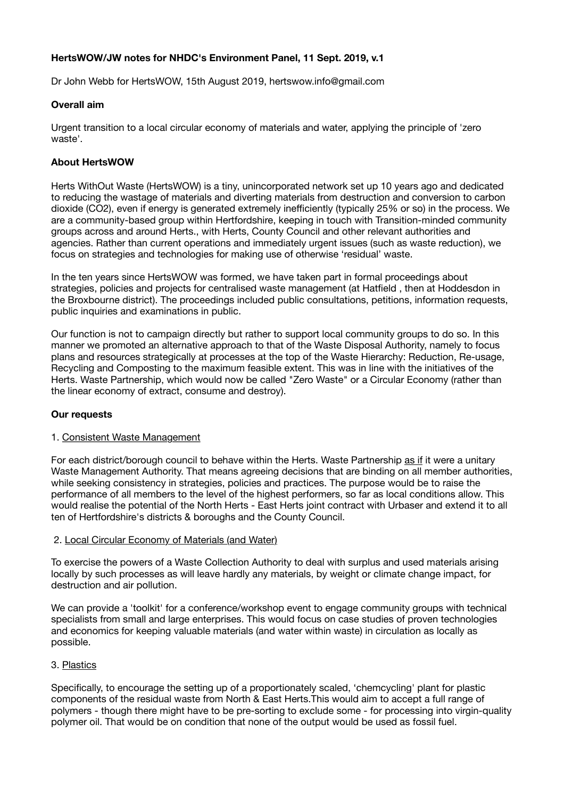# **HertsWOW/JW notes for NHDC's Environment Panel, 11 Sept. 2019, v.1**

Dr John Webb for HertsWOW, 15th August 2019, hertswow.info@gmail.com

#### **Overall aim**

Urgent transition to a local circular economy of materials and water, applying the principle of 'zero waste'.

## **About HertsWOW**

Herts WithOut Waste (HertsWOW) is a tiny, unincorporated network set up 10 years ago and dedicated to reducing the wastage of materials and diverting materials from destruction and conversion to carbon dioxide (CO2), even if energy is generated extremely inefficiently (typically 25% or so) in the process. We are a community-based group within Hertfordshire, keeping in touch with Transition-minded community groups across and around Herts., with Herts, County Council and other relevant authorities and agencies. Rather than current operations and immediately urgent issues (such as waste reduction), we focus on strategies and technologies for making use of otherwise 'residual' waste.

In the ten years since HertsWOW was formed, we have taken part in formal proceedings about strategies, policies and projects for centralised waste management (at Hatfield , then at Hoddesdon in the Broxbourne district). The proceedings included public consultations, petitions, information requests, public inquiries and examinations in public.

Our function is not to campaign directly but rather to support local community groups to do so. In this manner we promoted an alternative approach to that of the Waste Disposal Authority, namely to focus plans and resources strategically at processes at the top of the Waste Hierarchy: Reduction, Re-usage, Recycling and Composting to the maximum feasible extent. This was in line with the initiatives of the Herts. Waste Partnership, which would now be called "Zero Waste" or a Circular Economy (rather than the linear economy of extract, consume and destroy).

### **Our requests**

### 1. Consistent Waste Management

For each district/borough council to behave within the Herts. Waste Partnership as if it were a unitary Waste Management Authority. That means agreeing decisions that are binding on all member authorities, while seeking consistency in strategies, policies and practices. The purpose would be to raise the performance of all members to the level of the highest performers, so far as local conditions allow. This would realise the potential of the North Herts - East Herts joint contract with Urbaser and extend it to all ten of Hertfordshire's districts & boroughs and the County Council.

### 2. Local Circular Economy of Materials (and Water)

To exercise the powers of a Waste Collection Authority to deal with surplus and used materials arising locally by such processes as will leave hardly any materials, by weight or climate change impact, for destruction and air pollution.

We can provide a 'toolkit' for a conference/workshop event to engage community groups with technical specialists from small and large enterprises. This would focus on case studies of proven technologies and economics for keeping valuable materials (and water within waste) in circulation as locally as possible.

### 3. Plastics

Specifically, to encourage the setting up of a proportionately scaled, 'chemcycling' plant for plastic components of the residual waste from North & East Herts.This would aim to accept a full range of polymers - though there might have to be pre-sorting to exclude some - for processing into virgin-quality polymer oil. That would be on condition that none of the output would be used as fossil fuel.